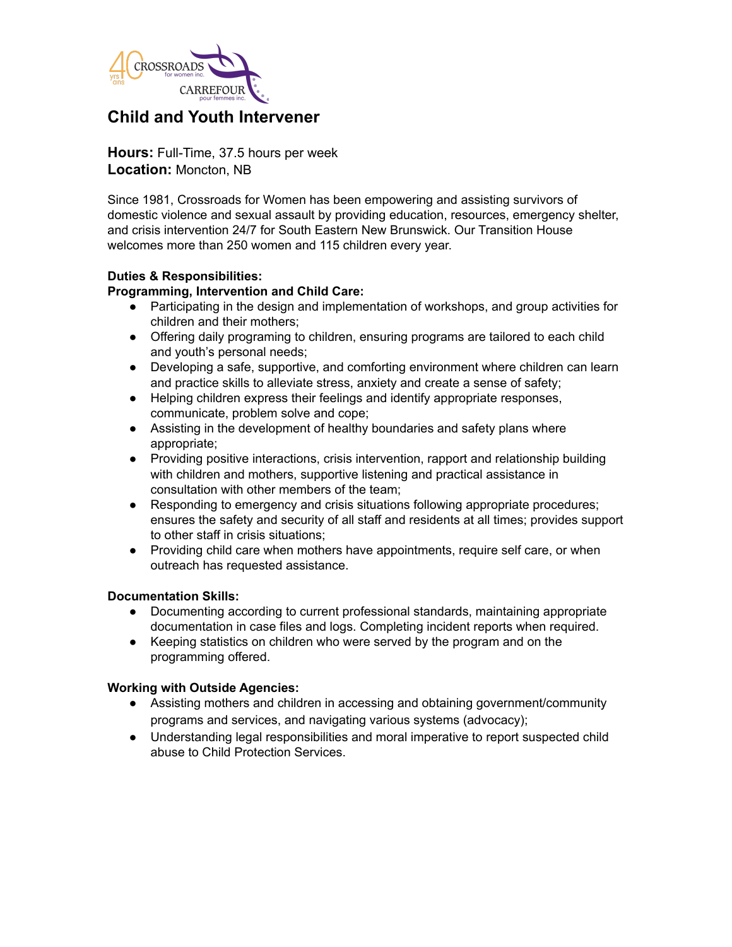

# **Child and Youth Intervener**

**Hours:** Full-Time, 37.5 hours per week **Location:** Moncton, NB

Since 1981, Crossroads for Women has been empowering and assisting survivors of domestic violence and sexual assault by providing education, resources, emergency shelter, and crisis intervention 24/7 for South Eastern New Brunswick. Our Transition House welcomes more than 250 women and 115 children every year.

## **Duties & Responsibilities:**

## **Programming, Intervention and Child Care:**

- Participating in the design and implementation of workshops, and group activities for children and their mothers;
- Offering daily programing to children, ensuring programs are tailored to each child and youth's personal needs;
- Developing a safe, supportive, and comforting environment where children can learn and practice skills to alleviate stress, anxiety and create a sense of safety;
- Helping children express their feelings and identify appropriate responses, communicate, problem solve and cope;
- Assisting in the development of healthy boundaries and safety plans where appropriate;
- Providing positive interactions, crisis intervention, rapport and relationship building with children and mothers, supportive listening and practical assistance in consultation with other members of the team;
- Responding to emergency and crisis situations following appropriate procedures; ensures the safety and security of all staff and residents at all times; provides support to other staff in crisis situations;
- Providing child care when mothers have appointments, require self care, or when outreach has requested assistance.

## **Documentation Skills:**

- Documenting according to current professional standards, maintaining appropriate documentation in case files and logs. Completing incident reports when required.
- Keeping statistics on children who were served by the program and on the programming offered.

## **Working with Outside Agencies:**

- Assisting mothers and children in accessing and obtaining government/community programs and services, and navigating various systems (advocacy);
- Understanding legal responsibilities and moral imperative to report suspected child abuse to Child Protection Services.